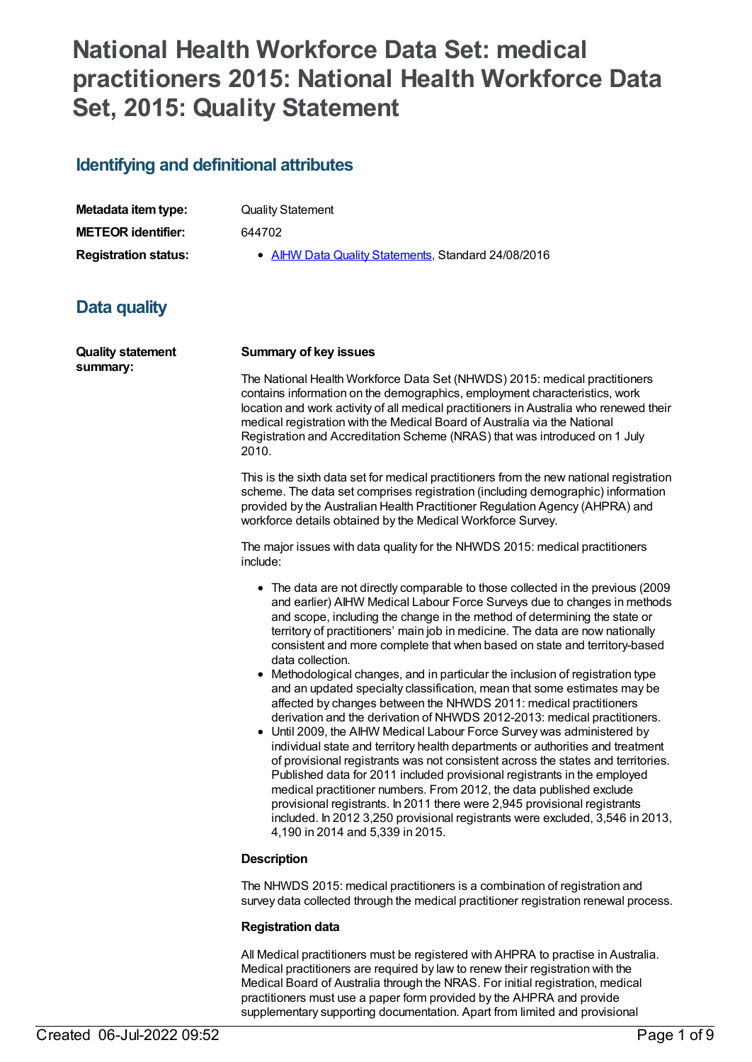# **National Health Workforce Data Set: medical practitioners 2015: National Health Workforce Data Set, 2015: Quality Statement**

# **Identifying and definitional attributes**

| Metadata item type:         | <b>Quality Statement</b>                            |
|-----------------------------|-----------------------------------------------------|
| <b>METEOR</b> identifier:   | 644702                                              |
| <b>Registration status:</b> | • AIHW Data Quality Statements, Standard 24/08/2016 |

# **Data quality**

| <b>Quality statement</b><br>summary: | <b>Summary of key issues</b>                                                                                                                                                                                                                                                                                                                                                                                                                                                                                                                                                                                                                                                                                                                                                                                                                                                                                                                                                                                                                                                                                                                                                                                                                                                                                                                   |
|--------------------------------------|------------------------------------------------------------------------------------------------------------------------------------------------------------------------------------------------------------------------------------------------------------------------------------------------------------------------------------------------------------------------------------------------------------------------------------------------------------------------------------------------------------------------------------------------------------------------------------------------------------------------------------------------------------------------------------------------------------------------------------------------------------------------------------------------------------------------------------------------------------------------------------------------------------------------------------------------------------------------------------------------------------------------------------------------------------------------------------------------------------------------------------------------------------------------------------------------------------------------------------------------------------------------------------------------------------------------------------------------|
|                                      | The National Health Workforce Data Set (NHWDS) 2015: medical practitioners<br>contains information on the demographics, employment characteristics, work<br>location and work activity of all medical practitioners in Australia who renewed their<br>medical registration with the Medical Board of Australia via the National<br>Registration and Accreditation Scheme (NRAS) that was introduced on 1 July<br>2010.                                                                                                                                                                                                                                                                                                                                                                                                                                                                                                                                                                                                                                                                                                                                                                                                                                                                                                                         |
|                                      | This is the sixth data set for medical practitioners from the new national registration<br>scheme. The data set comprises registration (including demographic) information<br>provided by the Australian Health Practitioner Regulation Agency (AHPRA) and<br>workforce details obtained by the Medical Workforce Survey.                                                                                                                                                                                                                                                                                                                                                                                                                                                                                                                                                                                                                                                                                                                                                                                                                                                                                                                                                                                                                      |
|                                      | The major issues with data quality for the NHWDS 2015: medical practitioners<br>include:                                                                                                                                                                                                                                                                                                                                                                                                                                                                                                                                                                                                                                                                                                                                                                                                                                                                                                                                                                                                                                                                                                                                                                                                                                                       |
|                                      | • The data are not directly comparable to those collected in the previous (2009<br>and earlier) AIHW Medical Labour Force Surveys due to changes in methods<br>and scope, including the change in the method of determining the state or<br>territory of practitioners' main job in medicine. The data are now nationally<br>consistent and more complete that when based on state and territory-based<br>data collection.<br>• Methodological changes, and in particular the inclusion of registration type<br>and an updated specialty classification, mean that some estimates may be<br>affected by changes between the NHWDS 2011: medical practitioners<br>derivation and the derivation of NHWDS 2012-2013: medical practitioners.<br>• Until 2009, the AIHW Medical Labour Force Survey was administered by<br>individual state and territory health departments or authorities and treatment<br>of provisional registrants was not consistent across the states and territories.<br>Published data for 2011 included provisional registrants in the employed<br>medical practitioner numbers. From 2012, the data published exclude<br>provisional registrants. In 2011 there were 2,945 provisional registrants<br>included. In 2012 3,250 provisional registrants were excluded, 3,546 in 2013,<br>4,190 in 2014 and 5,339 in 2015. |
|                                      | <b>Description</b>                                                                                                                                                                                                                                                                                                                                                                                                                                                                                                                                                                                                                                                                                                                                                                                                                                                                                                                                                                                                                                                                                                                                                                                                                                                                                                                             |
|                                      | The NHWDS 2015: medical practitioners is a combination of registration and<br>survey data collected through the medical practitioner registration renewal process.                                                                                                                                                                                                                                                                                                                                                                                                                                                                                                                                                                                                                                                                                                                                                                                                                                                                                                                                                                                                                                                                                                                                                                             |

# **Registration data**

All Medical practitioners must be registered with AHPRA to practise in Australia. Medical practitioners are required by law to renew their registration with the Medical Board of Australia through the NRAS. For initial registration, medical practitioners must use a paper form provided by the AHPRA and provide supplementary supporting documentation. Apart from limited and provisional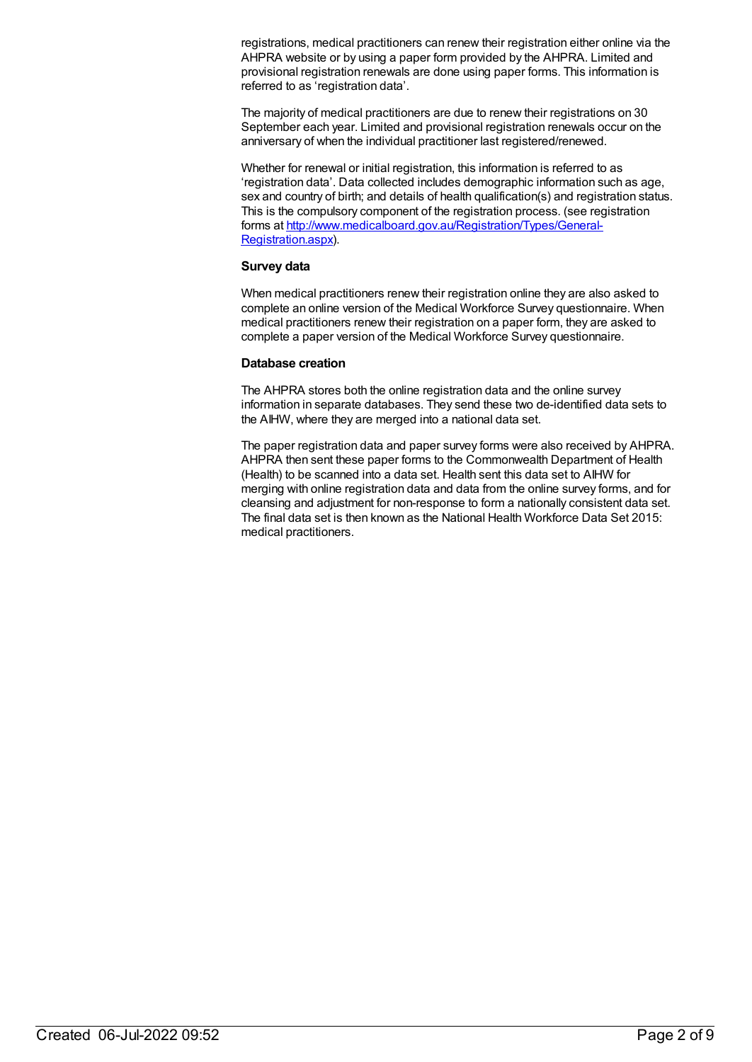registrations, medical practitioners can renew their registration either online via the AHPRA website or by using a paper form provided by the AHPRA. Limited and provisional registration renewals are done using paper forms. This information is referred to as 'registration data'.

The majority of medical practitioners are due to renew their registrations on 30 September each year. Limited and provisional registration renewals occur on the anniversary of when the individual practitioner last registered/renewed.

Whether for renewal or initial registration, this information is referred to as 'registration data'. Data collected includes demographic information such as age, sex and country of birth; and details of health qualification(s) and registration status. This is the compulsory component of the registration process. (see registration forms at [http://www.medicalboard.gov.au/Registration/Types/General-](http://www.medicalboard.gov.au/Registration/Types/General-Registration.aspx)Registration.aspx).

## **Survey data**

When medical practitioners renew their registration online they are also asked to complete an online version of the Medical Workforce Survey questionnaire. When medical practitioners renew their registration on a paper form, they are asked to complete a paper version of the Medical Workforce Survey questionnaire.

# **Database creation**

The AHPRA stores both the online registration data and the online survey information in separate databases. They send these two de-identified data sets to the AIHW, where they are merged into a national data set.

The paper registration data and paper survey forms were also received by AHPRA. AHPRA then sent these paper forms to the Commonwealth Department of Health (Health) to be scanned into a data set. Health sent this data set to AIHW for merging with online registration data and data from the online survey forms, and for cleansing and adjustment for non-response to form a nationally consistent data set. The final data set is then known as the National Health Workforce Data Set 2015: medical practitioners.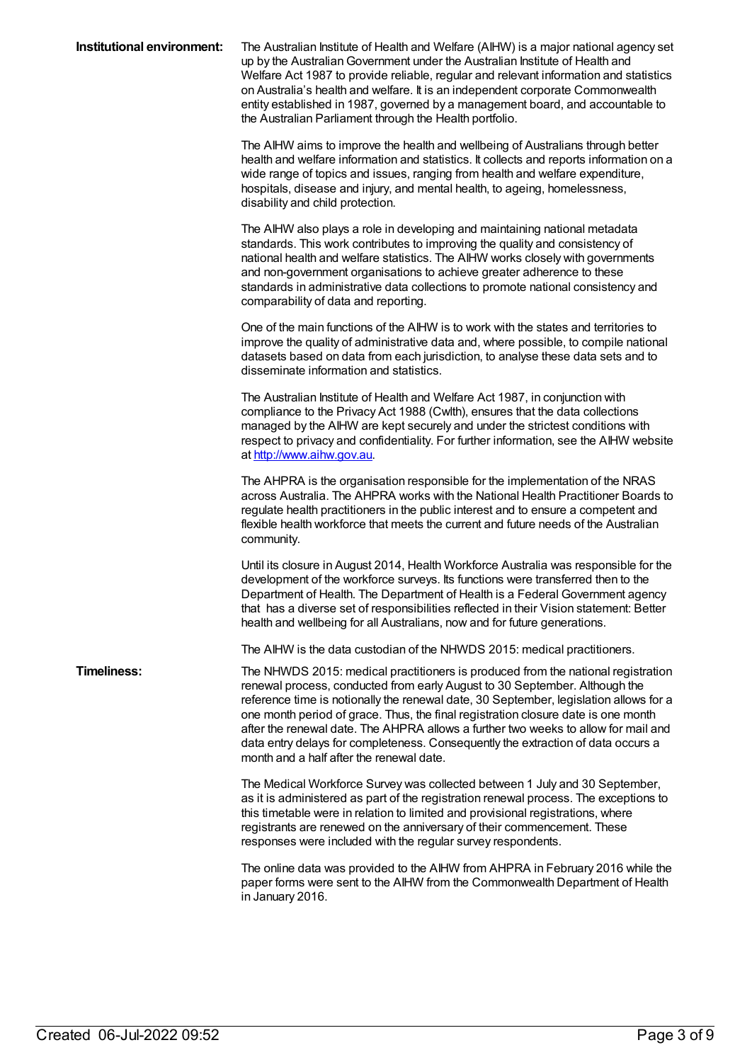| Institutional environment: | The Australian Institute of Health and Welfare (AIHW) is a major national agency set<br>up by the Australian Government under the Australian Institute of Health and<br>Welfare Act 1987 to provide reliable, regular and relevant information and statistics<br>on Australia's health and welfare. It is an independent corporate Commonwealth<br>entity established in 1987, governed by a management board, and accountable to<br>the Australian Parliament through the Health portfolio.                                                                       |
|----------------------------|--------------------------------------------------------------------------------------------------------------------------------------------------------------------------------------------------------------------------------------------------------------------------------------------------------------------------------------------------------------------------------------------------------------------------------------------------------------------------------------------------------------------------------------------------------------------|
|                            | The AIHW aims to improve the health and wellbeing of Australians through better<br>health and welfare information and statistics. It collects and reports information on a<br>wide range of topics and issues, ranging from health and welfare expenditure,<br>hospitals, disease and injury, and mental health, to ageing, homelessness,<br>disability and child protection.                                                                                                                                                                                      |
|                            | The AIHW also plays a role in developing and maintaining national metadata<br>standards. This work contributes to improving the quality and consistency of<br>national health and welfare statistics. The AIHW works closely with governments<br>and non-government organisations to achieve greater adherence to these<br>standards in administrative data collections to promote national consistency and<br>comparability of data and reporting.                                                                                                                |
|                            | One of the main functions of the AIHW is to work with the states and territories to<br>improve the quality of administrative data and, where possible, to compile national<br>datasets based on data from each jurisdiction, to analyse these data sets and to<br>disseminate information and statistics.                                                                                                                                                                                                                                                          |
|                            | The Australian Institute of Health and Welfare Act 1987, in conjunction with<br>compliance to the Privacy Act 1988 (Cwlth), ensures that the data collections<br>managed by the AIHW are kept securely and under the strictest conditions with<br>respect to privacy and confidentiality. For further information, see the AIHW website<br>at http://www.aihw.gov.au.                                                                                                                                                                                              |
|                            | The AHPRA is the organisation responsible for the implementation of the NRAS<br>across Australia. The AHPRA works with the National Health Practitioner Boards to<br>regulate health practitioners in the public interest and to ensure a competent and<br>flexible health workforce that meets the current and future needs of the Australian<br>community.                                                                                                                                                                                                       |
|                            | Until its closure in August 2014, Health Workforce Australia was responsible for the<br>development of the workforce surveys. Its functions were transferred then to the<br>Department of Health. The Department of Health is a Federal Government agency<br>that has a diverse set of responsibilities reflected in their Vision statement: Better<br>health and wellbeing for all Australians, now and for future generations.                                                                                                                                   |
|                            | The AIHW is the data custodian of the NHWDS 2015: medical practitioners.                                                                                                                                                                                                                                                                                                                                                                                                                                                                                           |
| <b>Timeliness:</b>         | The NHWDS 2015: medical practitioners is produced from the national registration<br>renewal process, conducted from early August to 30 September. Although the<br>reference time is notionally the renewal date, 30 September, legislation allows for a<br>one month period of grace. Thus, the final registration closure date is one month<br>after the renewal date. The AHPRA allows a further two weeks to allow for mail and<br>data entry delays for completeness. Consequently the extraction of data occurs a<br>month and a half after the renewal date. |
|                            | The Medical Workforce Survey was collected between 1 July and 30 September,<br>as it is administered as part of the registration renewal process. The exceptions to<br>this timetable were in relation to limited and provisional registrations, where<br>registrants are renewed on the anniversary of their commencement. These<br>responses were included with the regular survey respondents.                                                                                                                                                                  |
|                            | The online data was provided to the AIHW from AHPRA in February 2016 while the<br>paper forms were sent to the AIHW from the Commonwealth Department of Health<br>in January 2016.                                                                                                                                                                                                                                                                                                                                                                                 |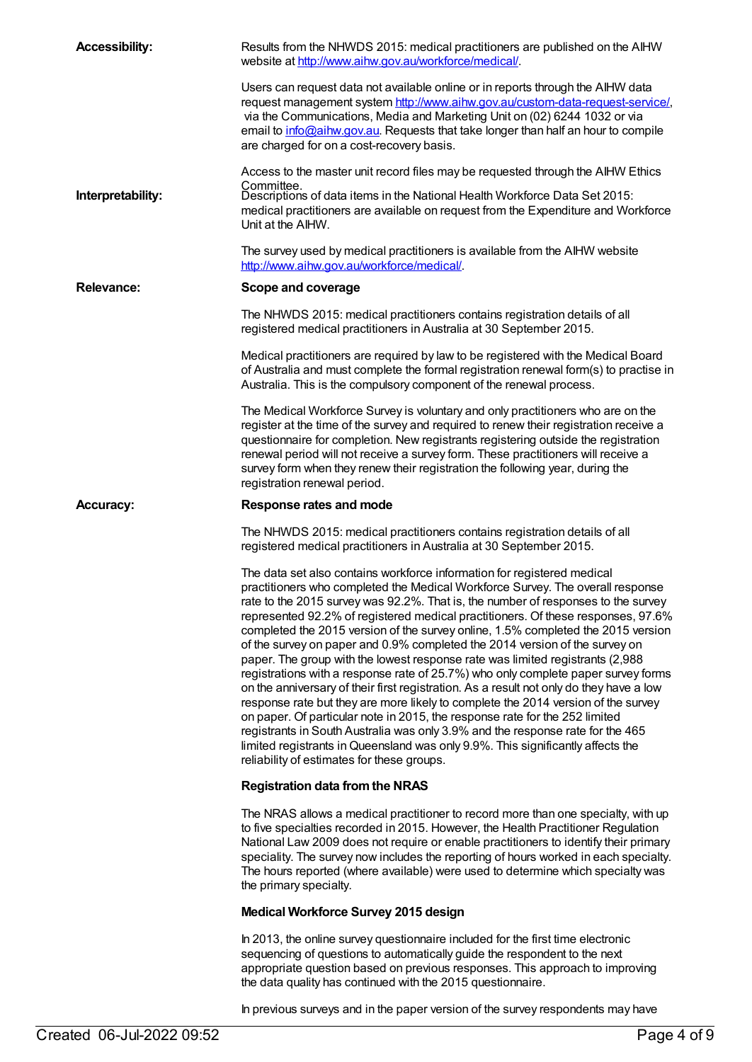| <b>Accessibility:</b> | Results from the NHWDS 2015: medical practitioners are published on the AIHW<br>website at http://www.aihw.gov.au/workforce/medical/.                                                                                                                                                                                                                                                                                                                                                                                                                                                                                                                                                                                                                                                                                                                                                                                                                                                                                                                                                                                                                          |
|-----------------------|----------------------------------------------------------------------------------------------------------------------------------------------------------------------------------------------------------------------------------------------------------------------------------------------------------------------------------------------------------------------------------------------------------------------------------------------------------------------------------------------------------------------------------------------------------------------------------------------------------------------------------------------------------------------------------------------------------------------------------------------------------------------------------------------------------------------------------------------------------------------------------------------------------------------------------------------------------------------------------------------------------------------------------------------------------------------------------------------------------------------------------------------------------------|
|                       | Users can request data not available online or in reports through the AIHW data<br>request management system http://www.aihw.gov.au/custom-data-request-service/,<br>via the Communications, Media and Marketing Unit on (02) 6244 1032 or via<br>email to info@aihw.gov.au. Requests that take longer than half an hour to compile<br>are charged for on a cost-recovery basis.                                                                                                                                                                                                                                                                                                                                                                                                                                                                                                                                                                                                                                                                                                                                                                               |
|                       | Access to the master unit record files may be requested through the AIHW Ethics                                                                                                                                                                                                                                                                                                                                                                                                                                                                                                                                                                                                                                                                                                                                                                                                                                                                                                                                                                                                                                                                                |
| Interpretability:     | Committee.<br>Descriptions of data items in the National Health Workforce Data Set 2015:<br>medical practitioners are available on request from the Expenditure and Workforce<br>Unit at the AIHW.                                                                                                                                                                                                                                                                                                                                                                                                                                                                                                                                                                                                                                                                                                                                                                                                                                                                                                                                                             |
|                       | The survey used by medical practitioners is available from the AIHW website<br>http://www.aihw.gov.au/workforce/medical/.                                                                                                                                                                                                                                                                                                                                                                                                                                                                                                                                                                                                                                                                                                                                                                                                                                                                                                                                                                                                                                      |
| <b>Relevance:</b>     | Scope and coverage                                                                                                                                                                                                                                                                                                                                                                                                                                                                                                                                                                                                                                                                                                                                                                                                                                                                                                                                                                                                                                                                                                                                             |
|                       | The NHWDS 2015: medical practitioners contains registration details of all<br>registered medical practitioners in Australia at 30 September 2015.                                                                                                                                                                                                                                                                                                                                                                                                                                                                                                                                                                                                                                                                                                                                                                                                                                                                                                                                                                                                              |
|                       | Medical practitioners are required by law to be registered with the Medical Board<br>of Australia and must complete the formal registration renewal form(s) to practise in<br>Australia. This is the compulsory component of the renewal process.                                                                                                                                                                                                                                                                                                                                                                                                                                                                                                                                                                                                                                                                                                                                                                                                                                                                                                              |
|                       | The Medical Workforce Survey is voluntary and only practitioners who are on the<br>register at the time of the survey and required to renew their registration receive a<br>questionnaire for completion. New registrants registering outside the registration<br>renewal period will not receive a survey form. These practitioners will receive a<br>survey form when they renew their registration the following year, during the<br>registration renewal period.                                                                                                                                                                                                                                                                                                                                                                                                                                                                                                                                                                                                                                                                                           |
| <b>Accuracy:</b>      | Response rates and mode                                                                                                                                                                                                                                                                                                                                                                                                                                                                                                                                                                                                                                                                                                                                                                                                                                                                                                                                                                                                                                                                                                                                        |
|                       | The NHWDS 2015: medical practitioners contains registration details of all<br>registered medical practitioners in Australia at 30 September 2015.                                                                                                                                                                                                                                                                                                                                                                                                                                                                                                                                                                                                                                                                                                                                                                                                                                                                                                                                                                                                              |
|                       | The data set also contains workforce information for registered medical<br>practitioners who completed the Medical Workforce Survey. The overall response<br>rate to the 2015 survey was 92.2%. That is, the number of responses to the survey<br>represented 92.2% of registered medical practitioners. Of these responses, 97.6%<br>completed the 2015 version of the survey online, 1.5% completed the 2015 version<br>of the survey on paper and 0.9% completed the 2014 version of the survey on<br>paper. The group with the lowest response rate was limited registrants (2,988)<br>registrations with a response rate of 25.7%) who only complete paper survey forms<br>on the anniversary of their first registration. As a result not only do they have a low<br>response rate but they are more likely to complete the 2014 version of the survey<br>on paper. Of particular note in 2015, the response rate for the 252 limited<br>registrants in South Australia was only 3.9% and the response rate for the 465<br>limited registrants in Queensland was only 9.9%. This significantly affects the<br>reliability of estimates for these groups. |
|                       | <b>Registration data from the NRAS</b>                                                                                                                                                                                                                                                                                                                                                                                                                                                                                                                                                                                                                                                                                                                                                                                                                                                                                                                                                                                                                                                                                                                         |
|                       | The NRAS allows a medical practitioner to record more than one specialty, with up<br>to five specialties recorded in 2015. However, the Health Practitioner Regulation<br>National Law 2009 does not require or enable practitioners to identify their primary<br>speciality. The survey now includes the reporting of hours worked in each specialty.<br>The hours reported (where available) were used to determine which specialty was<br>the primary specialty.                                                                                                                                                                                                                                                                                                                                                                                                                                                                                                                                                                                                                                                                                            |
|                       | <b>Medical Workforce Survey 2015 design</b>                                                                                                                                                                                                                                                                                                                                                                                                                                                                                                                                                                                                                                                                                                                                                                                                                                                                                                                                                                                                                                                                                                                    |
|                       | In 2013, the online survey questionnaire included for the first time electronic<br>sequencing of questions to automatically guide the respondent to the next<br>appropriate question based on previous responses. This approach to improving<br>the data quality has continued with the 2015 questionnaire.                                                                                                                                                                                                                                                                                                                                                                                                                                                                                                                                                                                                                                                                                                                                                                                                                                                    |

In previous surveys and in the paper version of the survey respondents may have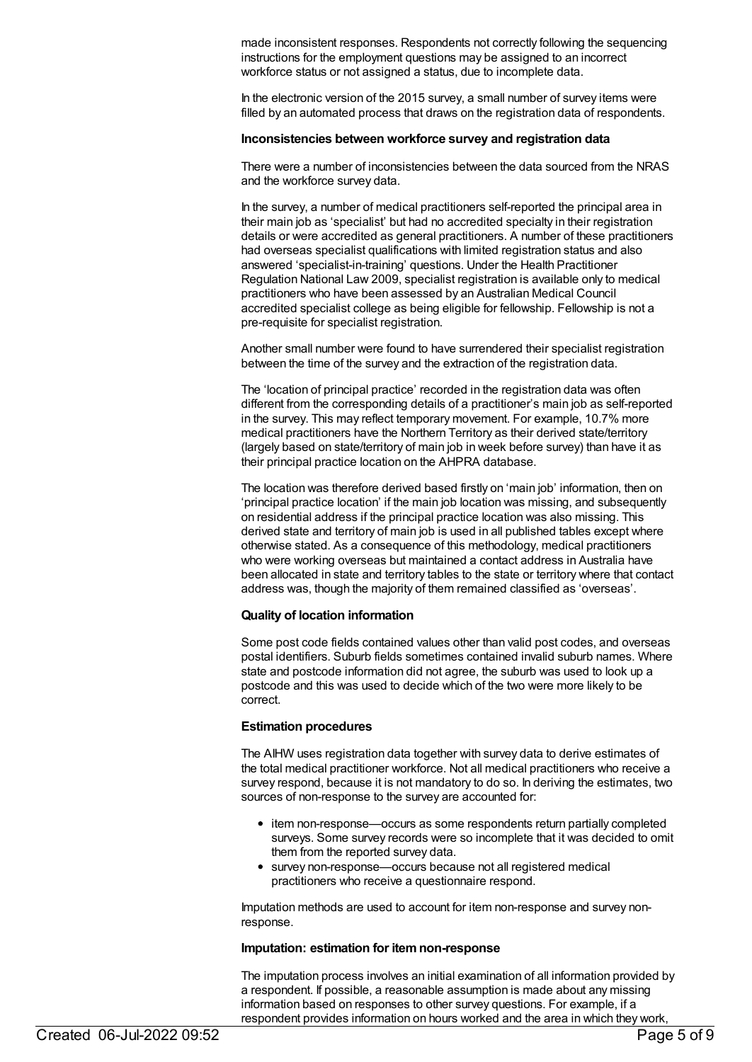made inconsistent responses. Respondents not correctly following the sequencing instructions for the employment questions may be assigned to an incorrect workforce status or not assigned a status, due to incomplete data.

In the electronic version of the 2015 survey, a small number of survey items were filled by an automated process that draws on the registration data of respondents.

#### **Inconsistencies between workforce survey and registration data**

There were a number of inconsistencies between the data sourced from the NRAS and the workforce survey data.

In the survey, a number of medical practitioners self-reported the principal area in their main job as 'specialist' but had no accredited specialty in their registration details or were accredited as general practitioners. A number of these practitioners had overseas specialist qualifications with limited registration status and also answered 'specialist-in-training' questions. Under the Health Practitioner Regulation National Law 2009, specialist registration is available only to medical practitioners who have been assessed by an Australian Medical Council accredited specialist college as being eligible for fellowship. Fellowship is not a pre-requisite for specialist registration.

Another small number were found to have surrendered their specialist registration between the time of the survey and the extraction of the registration data.

The 'location of principal practice' recorded in the registration data was often different from the corresponding details of a practitioner's main job as self-reported in the survey. This may reflect temporary movement. For example, 10.7% more medical practitioners have the Northern Territory as their derived state/territory (largely based on state/territory of main job in week before survey) than have it as their principal practice location on the AHPRA database.

The location was therefore derived based firstly on 'main job' information, then on 'principal practice location' if the main job location was missing, and subsequently on residential address if the principal practice location was also missing. This derived state and territory of main job is used in all published tables except where otherwise stated. As a consequence of this methodology, medical practitioners who were working overseas but maintained a contact address in Australia have been allocated in state and territory tables to the state or territory where that contact address was, though the majority of them remained classified as 'overseas'.

#### **Quality of location information**

Some post code fields contained values other than valid post codes, and overseas postal identifiers. Suburb fields sometimes contained invalid suburb names. Where state and postcode information did not agree, the suburb was used to look up a postcode and this was used to decide which of the two were more likely to be correct.

#### **Estimation procedures**

The AIHW uses registration data together with survey data to derive estimates of the total medical practitioner workforce. Not all medical practitioners who receive a survey respond, because it is not mandatory to do so. In deriving the estimates, two sources of non-response to the survey are accounted for:

- item non-response—occurs as some respondents return partially completed surveys. Some survey records were so incomplete that it was decided to omit them from the reported survey data.
- survey non-response—occurs because not all registered medical practitioners who receive a questionnaire respond.

Imputation methods are used to account for item non-response and survey nonresponse.

#### **Imputation: estimation for itemnon-response**

The imputation process involves an initial examination of all information provided by a respondent. If possible, a reasonable assumption is made about any missing information based on responses to other survey questions. For example, if a respondent provides information on hours worked and the area in which they work,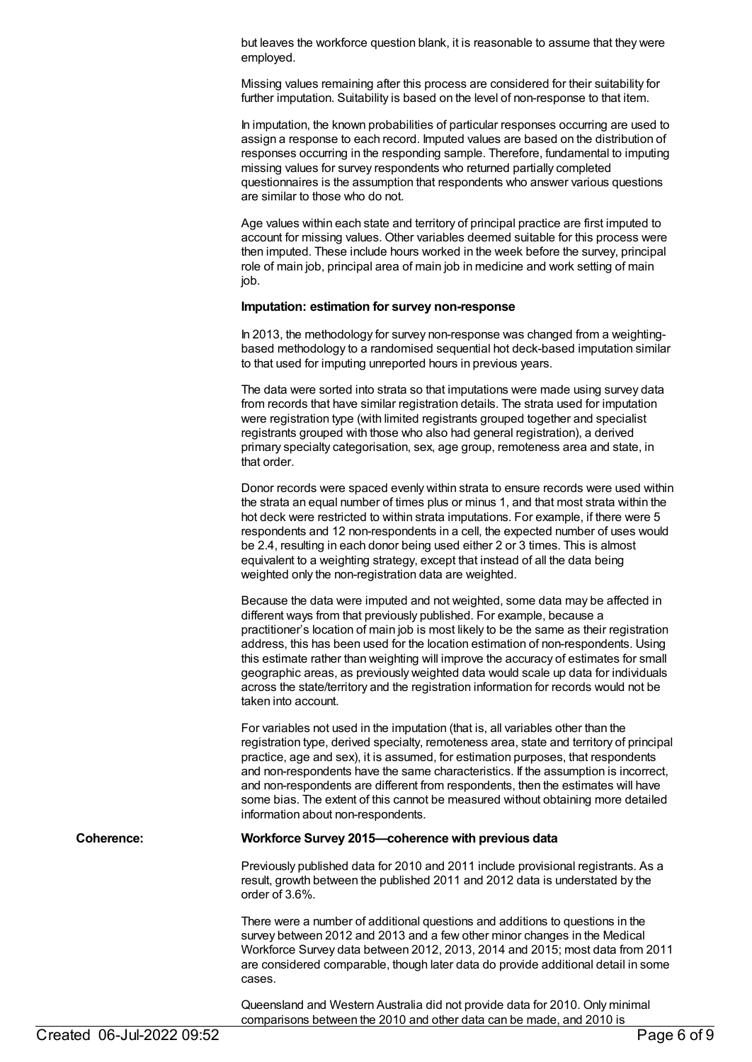but leaves the workforce question blank, it is reasonable to assume that they were employed.

Missing values remaining after this process are considered for their suitability for further imputation. Suitability is based on the level of non-response to that item.

In imputation, the known probabilities of particular responses occurring are used to assign a response to each record. Imputed values are based on the distribution of responses occurring in the responding sample. Therefore, fundamental to imputing missing values for survey respondents who returned partially completed questionnaires is the assumption that respondents who answer various questions are similar to those who do not.

Age values within each state and territory of principal practice are first imputed to account for missing values. Other variables deemed suitable for this process were then imputed. These include hours worked in the week before the survey, principal role of main job, principal area of main job in medicine and work setting of main job.

## **Imputation: estimation for survey non-response**

In 2013, the methodology for survey non-response was changed from a weightingbased methodology to a randomised sequential hot deck-based imputation similar to that used for imputing unreported hours in previous years.

The data were sorted into strata so that imputations were made using survey data from records that have similar registration details. The strata used for imputation were registration type (with limited registrants grouped together and specialist registrants grouped with those who also had general registration), a derived primary specialty categorisation, sex, age group, remoteness area and state, in that order.

Donor records were spaced evenly within strata to ensure records were used within the strata an equal number of times plus or minus 1, and that most strata within the hot deck were restricted to within strata imputations. For example, if there were 5 respondents and 12 non-respondents in a cell, the expected number of uses would be 2.4, resulting in each donor being used either 2 or 3 times. This is almost equivalent to a weighting strategy, except that instead of all the data being weighted only the non-registration data are weighted.

Because the data were imputed and not weighted, some data may be affected in different ways from that previously published. For example, because a practitioner's location of main job is most likely to be the same as their registration address, this has been used for the location estimation of non-respondents. Using this estimate rather than weighting will improve the accuracy of estimates for small geographic areas, as previously weighted data would scale up data for individuals across the state/territory and the registration information for records would not be taken into account.

For variables not used in the imputation (that is, all variables other than the registration type, derived specialty, remoteness area, state and territory of principal practice, age and sex), it is assumed, for estimation purposes, that respondents and non-respondents have the same characteristics. If the assumption is incorrect, and non-respondents are different from respondents, then the estimates will have some bias. The extent of this cannot be measured without obtaining more detailed information about non-respondents.

#### **Coherence: Workforce Survey 2015—coherence with previous data**

Previously published data for 2010 and 2011 include provisional registrants. As a result, growth between the published 2011 and 2012 data is understated by the order of 3.6%.

There were a number of additional questions and additions to questions in the survey between 2012 and 2013 and a few other minor changes in the Medical Workforce Survey data between 2012, 2013, 2014 and 2015; most data from 2011 are considered comparable, though later data do provide additional detail in some cases.

Queensland and Western Australia did not provide data for 2010. Only minimal comparisons between the 2010 and other data can be made, and 2010 is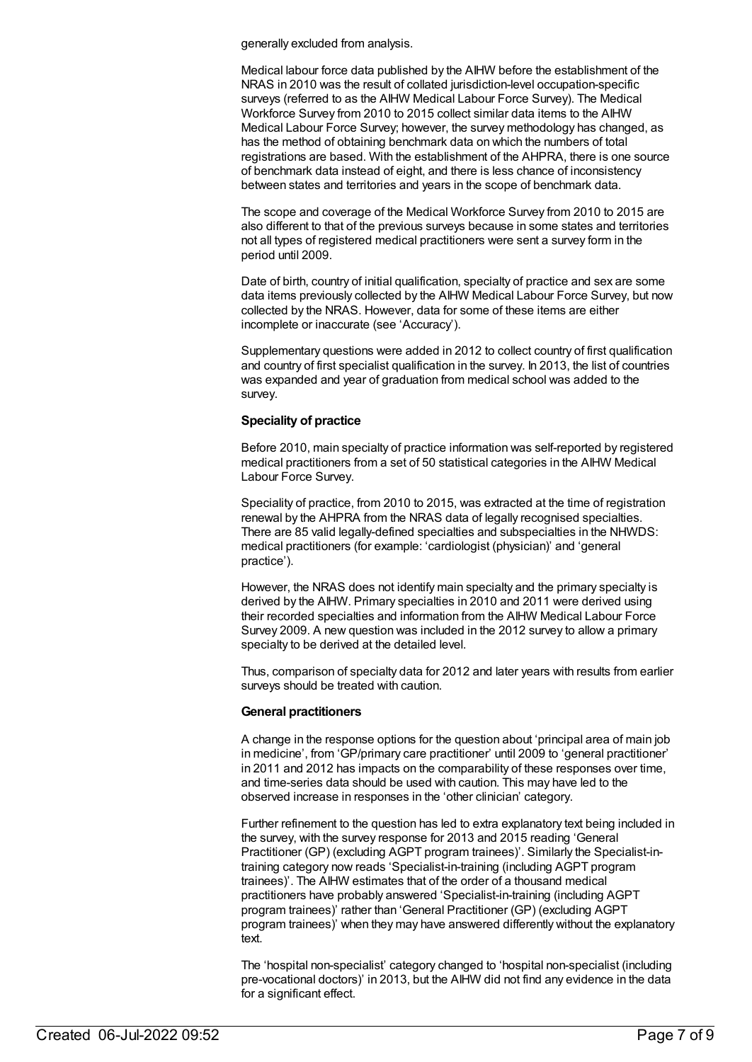generally excluded from analysis.

Medical labour force data published by the AIHW before the establishment of the NRAS in 2010 was the result of collated jurisdiction-level occupation-specific surveys (referred to as the AIHW Medical Labour Force Survey). The Medical Workforce Survey from 2010 to 2015 collect similar data items to the AIHW Medical Labour Force Survey; however, the survey methodology has changed, as has the method of obtaining benchmark data on which the numbers of total registrations are based. With the establishment of the AHPRA, there is one source of benchmark data instead of eight, and there is less chance of inconsistency between states and territories and years in the scope of benchmark data.

The scope and coverage of the Medical Workforce Survey from 2010 to 2015 are also different to that of the previous surveys because in some states and territories not all types of registered medical practitioners were sent a survey form in the period until 2009.

Date of birth, country of initial qualification, specialty of practice and sex are some data items previously collected by the AIHW Medical Labour Force Survey, but now collected by the NRAS. However, data for some of these items are either incomplete or inaccurate (see 'Accuracy').

Supplementary questions were added in 2012 to collect country of first qualification and country of first specialist qualification in the survey. In 2013, the list of countries was expanded and year of graduation from medical school was added to the survey.

## **Speciality of practice**

Before 2010, main specialty of practice information was self-reported by registered medical practitioners from a set of 50 statistical categories in the AIHW Medical Labour Force Survey.

Speciality of practice, from 2010 to 2015, was extracted at the time of registration renewal by the AHPRA from the NRAS data of legally recognised specialties. There are 85 valid legally-defined specialties and subspecialties in the NHWDS: medical practitioners (for example: 'cardiologist (physician)' and 'general practice').

However, the NRAS does not identify main specialty and the primary specialty is derived by the AIHW. Primary specialties in 2010 and 2011 were derived using their recorded specialties and information from the AIHW Medical Labour Force Survey 2009. A new question was included in the 2012 survey to allow a primary specialty to be derived at the detailed level.

Thus, comparison of specialty data for 2012 and later years with results from earlier surveys should be treated with caution.

#### **General practitioners**

A change in the response options for the question about 'principal area of main job in medicine', from 'GP/primary care practitioner' until 2009 to 'general practitioner' in 2011 and 2012 has impacts on the comparability of these responses over time, and time-series data should be used with caution. This may have led to the observed increase in responses in the 'other clinician' category.

Further refinement to the question has led to extra explanatory text being included in the survey, with the survey response for 2013 and 2015 reading 'General Practitioner (GP) (excluding AGPT program trainees)'. Similarly the Specialist-intraining category now reads 'Specialist-in-training (including AGPT program trainees)'. The AIHW estimates that of the order of a thousand medical practitioners have probably answered 'Specialist-in-training (including AGPT program trainees)' rather than 'General Practitioner (GP) (excluding AGPT program trainees)' when they may have answered differently without the explanatory text.

The 'hospital non-specialist' category changed to 'hospital non-specialist (including pre-vocational doctors)' in 2013, but the AIHW did not find any evidence in the data for a significant effect.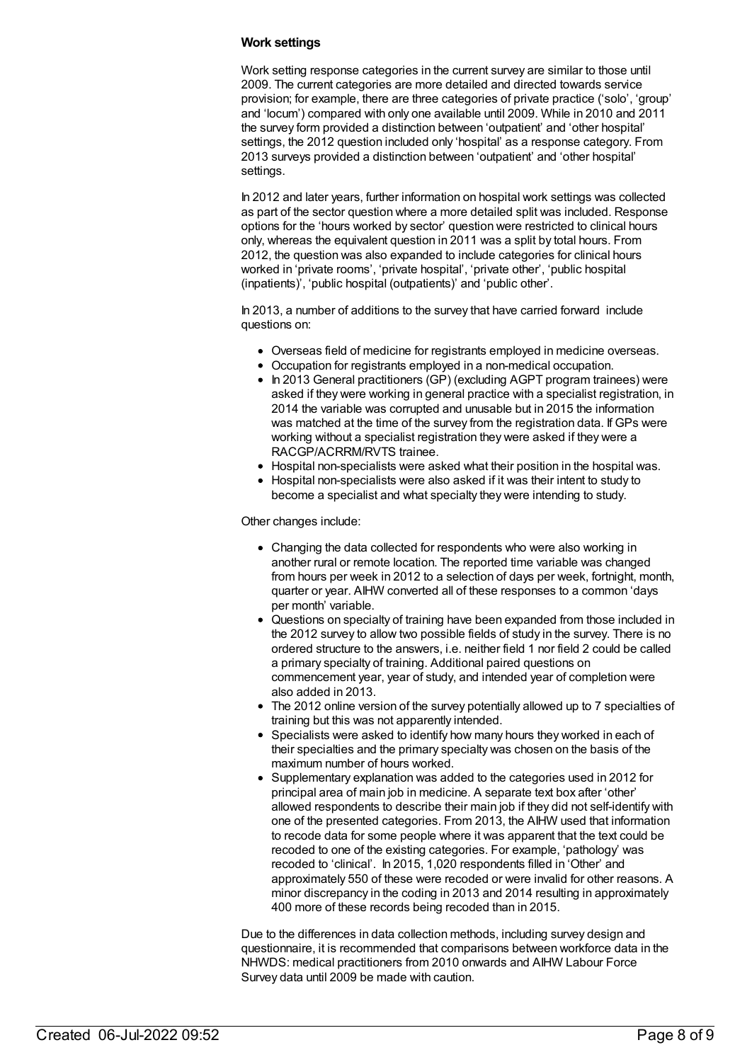## **Work settings**

Work setting response categories in the current survey are similar to those until 2009. The current categories are more detailed and directed towards service provision; for example, there are three categories of private practice ('solo', 'group' and 'locum') compared with only one available until 2009. While in 2010 and 2011 the survey form provided a distinction between 'outpatient' and 'other hospital' settings, the 2012 question included only 'hospital' as a response category. From 2013 surveys provided a distinction between 'outpatient' and 'other hospital' settings.

In 2012 and later years, further information on hospital work settings was collected as part of the sector question where a more detailed split was included. Response options for the 'hours worked by sector' question were restricted to clinical hours only, whereas the equivalent question in 2011 was a split by total hours. From 2012, the question was also expanded to include categories for clinical hours worked in 'private rooms', 'private hospital', 'private other', 'public hospital (inpatients)', 'public hospital (outpatients)' and 'public other'.

In 2013, a number of additions to the survey that have carried forward include questions on:

- Overseas field of medicine for registrants employed in medicine overseas.
- Occupation for registrants employed in a non-medical occupation.
- In 2013 General practitioners (GP) (excluding AGPT program trainees) were asked if they were working in general practice with a specialist registration, in 2014 the variable was corrupted and unusable but in 2015 the information was matched at the time of the survey from the registration data. If GPs were working without a specialist registration they were asked if they were a RACGP/ACRRM/RVTS trainee.
- Hospital non-specialists were asked what their position in the hospital was.
- Hospital non-specialists were also asked if it was their intent to study to become a specialist and what specialty they were intending to study.

Other changes include:

- Changing the data collected for respondents who were also working in another rural or remote location. The reported time variable was changed from hours per week in 2012 to a selection of days per week, fortnight, month, quarter or year. AIHW converted all of these responses to a common 'days per month' variable.
- Questions on specialty of training have been expanded from those included in the 2012 survey to allow two possible fields of study in the survey. There is no ordered structure to the answers, i.e. neither field 1 nor field 2 could be called a primary specialty of training. Additional paired questions on commencement year, year of study, and intended year of completion were also added in 2013.
- The 2012 online version of the survey potentially allowed up to 7 specialties of training but this was not apparently intended.
- Specialists were asked to identify how many hours they worked in each of their specialties and the primary specialty was chosen on the basis of the maximum number of hours worked.
- Supplementary explanation was added to the categories used in 2012 for principal area of main job in medicine. A separate text box after 'other' allowed respondents to describe their main job if they did not self-identify with one of the presented categories. From 2013, the AIHW used that information to recode data for some people where it was apparent that the text could be recoded to one of the existing categories. For example, 'pathology' was recoded to 'clinical'. In 2015, 1,020 respondents filled in 'Other' and approximately 550 of these were recoded or were invalid for other reasons. A minor discrepancy in the coding in 2013 and 2014 resulting in approximately 400 more of these records being recoded than in 2015.

Due to the differences in data collection methods, including survey design and questionnaire, it is recommended that comparisons between workforce data in the NHWDS: medical practitioners from 2010 onwards and AIHW Labour Force Survey data until 2009 be made with caution.